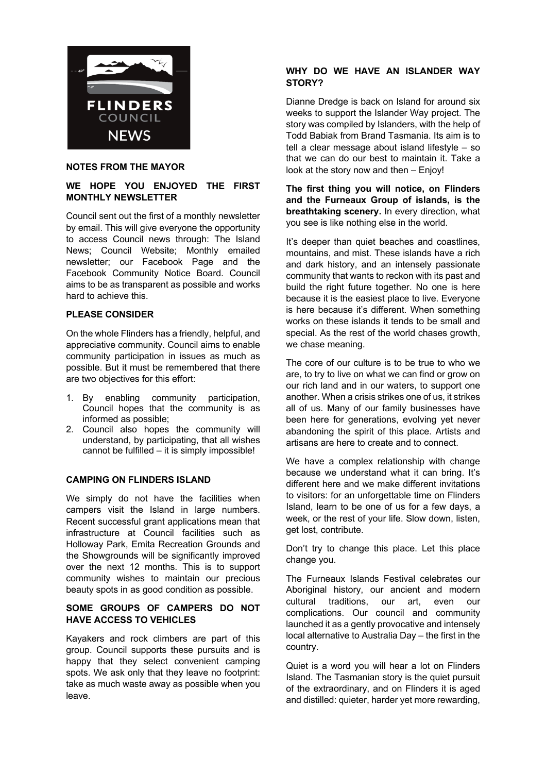

# **NOTES FROM THE MAYOR**

# **WE HOPE YOU ENJOYED THE FIRST MONTHLY NEWSLETTER**

Council sent out the first of a monthly newsletter by email. This will give everyone the opportunity to access Council news through: The Island News; Council Website; Monthly emailed newsletter; our Facebook Page and the Facebook Community Notice Board. Council aims to be as transparent as possible and works hard to achieve this.

## **PLEASE CONSIDER**

On the whole Flinders has a friendly, helpful, and appreciative community. Council aims to enable community participation in issues as much as possible. But it must be remembered that there are two objectives for this effort:

- 1. By enabling community participation, Council hopes that the community is as informed as possible;
- 2. Council also hopes the community will understand, by participating, that all wishes cannot be fulfilled – it is simply impossible!

## **CAMPING ON FLINDERS ISLAND**

We simply do not have the facilities when campers visit the Island in large numbers. Recent successful grant applications mean that infrastructure at Council facilities such as Holloway Park, Emita Recreation Grounds and the Showgrounds will be significantly improved over the next 12 months. This is to support community wishes to maintain our precious beauty spots in as good condition as possible.

# **SOME GROUPS OF CAMPERS DO NOT HAVE ACCESS TO VEHICLES**

Kayakers and rock climbers are part of this group. Council supports these pursuits and is happy that they select convenient camping spots. We ask only that they leave no footprint: take as much waste away as possible when you leave.

# **WHY DO WE HAVE AN ISLANDER WAY STORY?**

Dianne Dredge is back on Island for around six weeks to support the Islander Way project. The story was compiled by Islanders, with the help of Todd Babiak from Brand Tasmania. Its aim is to tell a clear message about island lifestyle – so that we can do our best to maintain it. Take a look at the story now and then – Enjoy!

**The first thing you will notice, on Flinders and the Furneaux Group of islands, is the breathtaking scenery.** In every direction, what you see is like nothing else in the world.

It's deeper than quiet beaches and coastlines, mountains, and mist. These islands have a rich and dark history, and an intensely passionate community that wants to reckon with its past and build the right future together. No one is here because it is the easiest place to live. Everyone is here because it's different. When something works on these islands it tends to be small and special. As the rest of the world chases growth, we chase meaning.

The core of our culture is to be true to who we are, to try to live on what we can find or grow on our rich land and in our waters, to support one another. When a crisis strikes one of us, it strikes all of us. Many of our family businesses have been here for generations, evolving yet never abandoning the spirit of this place. Artists and artisans are here to create and to connect.

We have a complex relationship with change because we understand what it can bring. It's different here and we make different invitations to visitors: for an unforgettable time on Flinders Island, learn to be one of us for a few days, a week, or the rest of your life. Slow down, listen, get lost, contribute.

Don't try to change this place. Let this place change you.

The Furneaux Islands Festival celebrates our Aboriginal history, our ancient and modern cultural traditions, our art, even our complications. Our council and community launched it as a gently provocative and intensely local alternative to Australia Day – the first in the country.

Quiet is a word you will hear a lot on Flinders Island. The Tasmanian story is the quiet pursuit of the extraordinary, and on Flinders it is aged and distilled: quieter, harder yet more rewarding,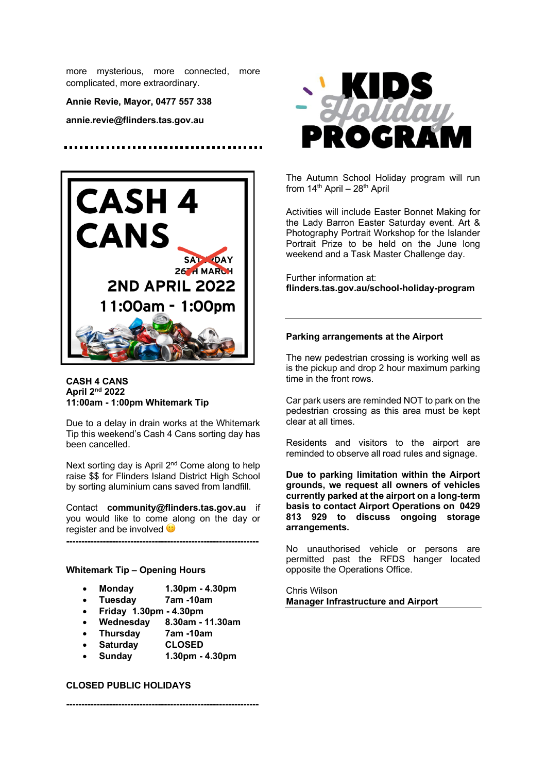more mysterious, more connected, more complicated, more extraordinary.

**Annie Revie, Mayor, 0477 557 338**

**annie.revie@flinders.tas.gov.au**



#### **CASH 4 CANS April 2nd 2022 11:00am - 1:00pm Whitemark Tip**

Due to a delay in drain works at the Whitemark Tip this weekend's Cash 4 Cans sorting day has been cancelled.

Next sorting day is April 2<sup>nd</sup> Come along to help raise \$\$ for Flinders Island District High School by sorting aluminium cans saved from landfill.

Contact **community@flinders.tas.gov.au** if you would like to come along on the day or register and be involved  $\ddot{\bullet}$ 

**---------------------------------------------------------------**

## **Whitemark Tip – Opening Hours**

- **Monday 1.30pm - 4.30pm**
- **Tuesday 7am -10am**
- **Friday 1.30pm - 4.30pm**
- **Wednesday 8.30am - 11.30am**
- **Thursday 7am -10am**
- **Saturday CLOSED**
- **Sunday 1.30pm - 4.30pm**

**---------------------------------------------------------------**

#### **CLOSED PUBLIC HOLIDAYS**



The Autumn School Holiday program will run from  $14<sup>th</sup>$  April –  $28<sup>th</sup>$  April

Activities will include Easter Bonnet Making for the Lady Barron Easter Saturday event. Art & Photography Portrait Workshop for the Islander Portrait Prize to be held on the June long weekend and a Task Master Challenge day.

Further information at: **flinders.tas.gov.au/school-holiday-program** 

#### **Parking arrangements at the Airport**

The new pedestrian crossing is working well as is the pickup and drop 2 hour maximum parking time in the front rows.

Car park users are reminded NOT to park on the pedestrian crossing as this area must be kept clear at all times.   

Residents and visitors to the airport are reminded to observe all road rules and signage.

**Due to parking limitation within the Airport grounds, we request all owners of vehicles currently parked at the airport on a long-term basis to contact Airport Operations on 0429 813 929 to discuss ongoing storage arrangements.**

No unauthorised vehicle or persons are permitted past the RFDS hanger located opposite the Operations Office.

Chris Wilson **Manager Infrastructure and Airport**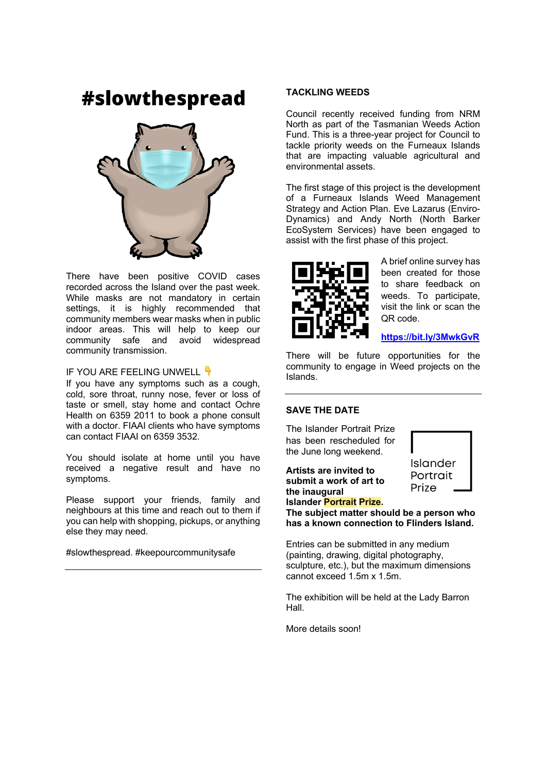# #slowthespread



There have been positive COVID cases recorded across the Island over the past week. While masks are not mandatory in certain settings, it is highly recommended that community members wear masks when in public indoor areas. This will help to keep our community safe and avoid widespread community transmission.

# IF YOU ARE FEELING UNWELL

If you have any symptoms such as a cough, cold, sore throat, runny nose, fever or loss of taste or smell, stay home and contact Ochre Health on 6359 2011 to book a phone consult with a doctor. FIAAI clients who have symptoms can contact FIAAI on 6359 3532.

You should isolate at home until you have received a negative result and have no symptoms.

Please support your friends, family and neighbours at this time and reach out to them if you can help with shopping, pickups, or anything else they may need.

#slowthespread. #keepourcommunitysafe

## **TACKLING WEEDS**

Council recently received funding from NRM North as part of the Tasmanian Weeds Action Fund. This is a three-year project for Council to tackle priority weeds on the Furneaux Islands that are impacting valuable agricultural and environmental assets.

The first stage of this project is the development of a Furneaux Islands Weed Management Strategy and Action Plan. Eve Lazarus (Enviro-Dynamics) and Andy North (North Barker EcoSystem Services) have been engaged to assist with the first phase of this project.



A brief online survey has been created for those to share feedback on weeds. To participate, visit the link or scan the QR code.

**https://bit.ly/3MwkGvR**

There will be future opportunities for the community to engage in Weed projects on the Islands.

# **SAVE THE DATE**

The Islander Portrait Prize has been rescheduled for the June long weekend.

**Artists are invited to submit a work of art to the inaugural Islander Portrait Prize.** 



**The subject matter should be a person who has a known connection to Flinders Island.**

Entries can be submitted in any medium (painting, drawing, digital photography, sculpture, etc.), but the maximum dimensions cannot exceed 1.5m x 1.5m.

The exhibition will be held at the Lady Barron Hall.

More details soon!